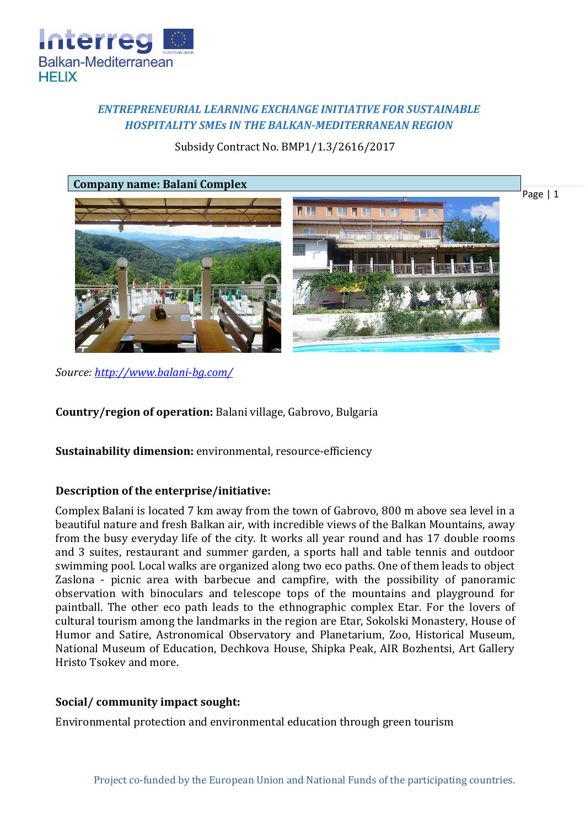

# *ENTREPRENEURIAL LEARNING EXCHANGE INITIATIVE FOR SUSTAINABLE HOSPITALITY SMEs IN THE BALKAN-MEDITERRANEAN REGION*

Subsidy Contract No. BMP1/1.3/2616/2017



*Source:<http://www.balani-bg.com/>*

**Country/region of operation:** Balani village, Gabrovo, Bulgaria

**Sustainability dimension:** environmental, resource-efficiency

## **Description of the enterprise/initiative:**

Complex Balani is located 7 km away from the town of Gabrovo, 800 m above sea level in a beautiful nature and fresh Balkan air, with incredible views of the Balkan Mountains, away from the busy everyday life of the city. It works all year round and has 17 double rooms and 3 suites, restaurant and summer garden, a sports hall and table tennis and outdoor swimming pool. Local walks are organized along two eco paths. One of them leads to object Zaslona - picnic area with barbecue and campfire, with the possibility of panoramic observation with binoculars and telescope tops of the mountains and playground for paintball. The other eco path leads to the ethnographic complex Etar. For the lovers of cultural tourism among the landmarks in the region are Etar, Sokolski Monastery, House of Humor and Satire, Astronomical Observatory and Planetarium, Zoo, Historical Museum, National Museum of Education, Dechkova House, Shipka Peak, AIR Bozhentsi, Art Gallery Hristo Tsokev and more.

## **Social/ community impact sought:**

Environmental protection and environmental education through green tourism